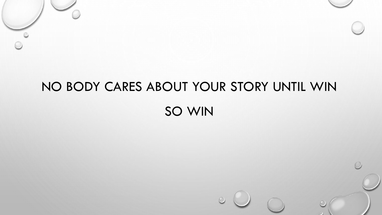# NO BODY CARES ABOUT YOUR STORY UNTIL WIN SO WIN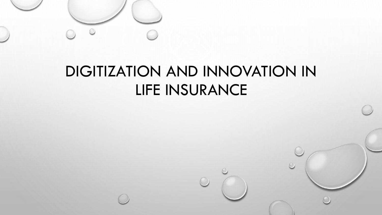

## DIGITIZATION AND INNOVATION IN LIFE INSURANCE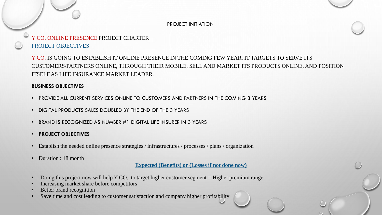#### PROJECT INITIATION

## Y CO. ONLINE PRESENCE PROJECT CHARTER PROJECT OBJECTIVES

Y CO. IS GOING TO ESTABLISH IT ONLINE PRESENCE IN THE COMING FEW YEAR. IT TARGETS TO SERVE ITS CUSTOMERS/PARTNERS ONLINE, THROUGH THEIR MOBILE, SELL AND MARKET ITS PRODUCTS ONLINE, AND POSITION ITSELF AS LIFE INSURANCE MARKET LEADER.

#### **BUSINESS OBJECTIVES**

- PROVIDE ALL CURRENT SERVICES ONLINE TO CUSTOMERS AND PARTNERS IN THE COMING 3 YEARS
- DIGITAL PRODUCTS SALES DOUBLED BY THE END OF THE 3 YEARS
- BRAND IS RECOGNIZED AS NUMBER #1 DIGITAL LIFE INSURER IN 3 YEARS
- **PROJECT OBJECTIVES**
- Establish the needed online presence strategies / infrastructures / processes / plans / organization
- Duration : 18 month

**Expected (Benefits) or (Losses if not done now)**

- Doing this project now will help Y CO. to target higher customer segment = Higher premium range
- Increasing market share before competitors
- Better brand recognition
- Save time and cost leading to customer satisfaction and company higher profitability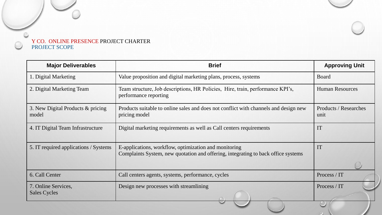

| <b>Major Deliverables</b>                  | <b>Brief</b>                                                                                                                               | <b>Approving Unit</b>                |
|--------------------------------------------|--------------------------------------------------------------------------------------------------------------------------------------------|--------------------------------------|
| 1. Digital Marketing                       | Value proposition and digital marketing plans, process, systems<br>Board                                                                   |                                      |
| 2. Digital Marketing Team                  | Team structure, Job descriptions, HR Policies, Hire, train, performance KPI's,<br>performance reporting                                    | <b>Human Resources</b>               |
| 3. New Digital Products & pricing<br>model | Products suitable to online sales and does not conflict with channels and design new<br>pricing model                                      | <b>Products / Researches</b><br>unit |
| 4. IT Digital Team Infrastructure          | Digital marketing requirements as well as Call centers requirements                                                                        | IT                                   |
| 5. IT required applications / Systems      | E-applications, workflow, optimization and monitoring<br>Complaints System, new quotation and offering, integrating to back office systems | IT                                   |
| 6. Call Center                             | Call centers agents, systems, performance, cycles                                                                                          | Process / IT                         |
| 7. Online Services,<br><b>Sales Cycles</b> | Design new processes with streamlining                                                                                                     | Process / IT                         |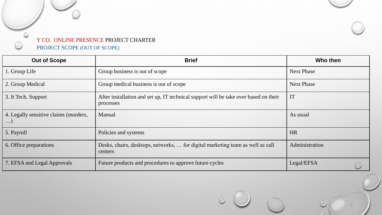

| <b>Out of Scope</b>                                 | <b>Brief</b>                                                                                      | Who then          |
|-----------------------------------------------------|---------------------------------------------------------------------------------------------------|-------------------|
| 1. Group Life                                       | Group business is out of scope                                                                    | <b>Next Phase</b> |
| 2. Group Medical                                    | Group medical business is out of scope                                                            | <b>Next Phase</b> |
| 3. It Tech. Support                                 | After installation and set up, IT technical support will be take over based on their<br>processes | IT                |
| 4. Legally sensitive claims (murders,<br>$\ldots$ ) | Manual                                                                                            | As usual          |
| 5. Payroll                                          | Policies and systems                                                                              | <b>HR</b>         |
| 6. Office preparations                              | Desks, chairs, desktops, networks,  for digital marketing team as well as call<br>centers         | Administration    |
| 7. EFSA and Legal Approvals                         | Future products and procedures to approve future cycles                                           | Legal/EFSA        |

5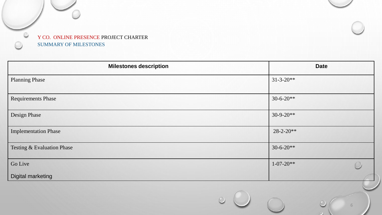

| <b>Milestones description</b> | <b>Date</b>           |
|-------------------------------|-----------------------|
| <b>Planning Phase</b>         | $31 - 3 - 20**$       |
| <b>Requirements Phase</b>     | $30-6-20**$           |
| Design Phase                  | $30-9-20**$           |
| <b>Implementation Phase</b>   | $28 - 2 - 20**$       |
| Testing & Evaluation Phase    | $30 - 6 - 20**$       |
| Go Live                       | $1 - 07 - 20**$       |
| <b>Digital marketing</b>      |                       |
|                               | $\bigcirc$<br>$\circ$ |

6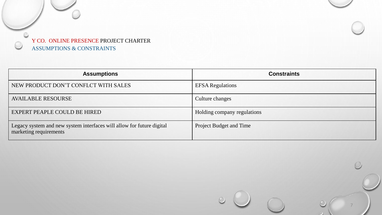

| <b>Assumptions</b>                                                                              | <b>Constraints</b>          |  |  |
|-------------------------------------------------------------------------------------------------|-----------------------------|--|--|
| NEW PRODUCT DON'T CONFLCT WITH SALES                                                            | <b>EFSA Regulations</b>     |  |  |
| <b>AVAILABLE RESOURSE</b>                                                                       | Culture changes             |  |  |
| EXPERT PEAPLE COULD BE HIRED                                                                    | Holding company regulations |  |  |
| Legacy system and new system interfaces will allow for future digital<br>marketing requirements | Project Budget and Time     |  |  |

7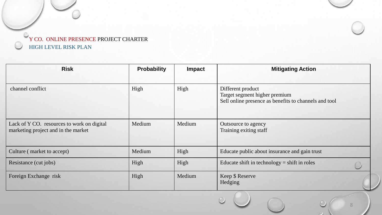

| <b>Risk</b>                                                                       | <b>Probability</b> | Impact | <b>Mitigating Action</b>                                                                                    |
|-----------------------------------------------------------------------------------|--------------------|--------|-------------------------------------------------------------------------------------------------------------|
| channel conflict                                                                  | High               | High   | Different product<br>Target segment higher premium<br>Sell online presence as benefits to channels and tool |
| Lack of Y CO. resources to work on digital<br>marketing project and in the market | Medium             | Medium | Outsource to agency<br>Training exiting staff                                                               |
| Culture (market to accept)                                                        | Medium             | High   | Educate public about insurance and gain trust                                                               |
| Resistance (cut jobs)                                                             | High               | High   | Educate shift in technology = shift in roles                                                                |
| Foreign Exchange risk                                                             | High               | Medium | Keep \$ Reserve<br>Hedging                                                                                  |

8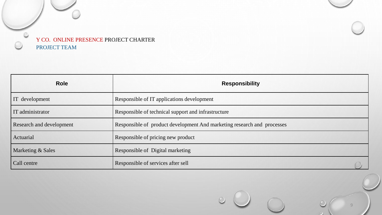

| <b>Role</b>              | <b>Responsibility</b>                                                   |  |  |
|--------------------------|-------------------------------------------------------------------------|--|--|
| IT development           | Responsible of IT applications development                              |  |  |
| IT administrator         | Responsible of technical support and infrastructure                     |  |  |
| Research and development | Responsible of product development And marketing research and processes |  |  |
| Actuarial                | Responsible of pricing new product                                      |  |  |
| Marketing & Sales        | Responsible of Digital marketing                                        |  |  |
| Call centre              | Responsible of services after sell                                      |  |  |

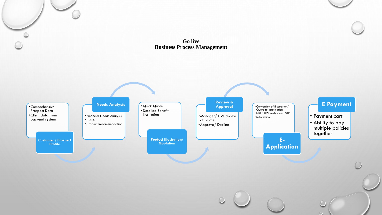### **Go live Business Process Management**

O

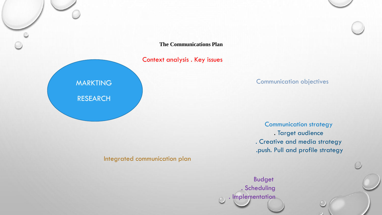**The Communications Plan**

Context analysis . Key issues

## Communication objectives

Communication strategy . Target audience . Creative and media strategy .push. Pull and profile strategy

Integrated communication plan

MARKTING

RESEARCH

Budget . Scheduling . Implementation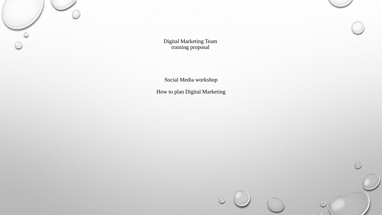

Digital Marketing Team training proposal

Social Media workshop

How to plan Digital Marketing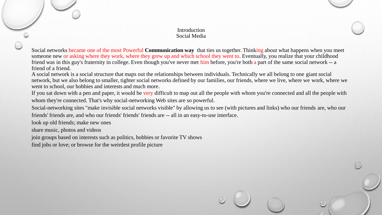#### **Introduction** Social Media

Social networks became one of the most Powerful **Communication way** that ties us together. Thinking about what happens when you meet someone new or asking where they work, where they grew up and which school they went to. Eventually, you realize that your childhood friend was in this guy's fraternity in college. Even though you've never met him before, you're both a part of the same social network -- a friend of a friend.

A social network is a social structure that maps out the relationships between individuals. Technically we all belong to one giant social network, but we also belong to smaller, tighter social networks defined by our families, our friends, where we live, where we work, where we went to school, our hobbies and interests and much more.

If you sat down with a pen and paper, it would be very difficult to map out all the people with whom you're connected and all the people with whom they're connected. That's why social-networking Web sites are so powerful.

Social-networking sites "make invisible social networks visible" by allowing us to see (with pictures and links) who our friends are, who our friends' friends are, and who our friends' friends' friends are -- all in an easy-to-use interface.

look up old friends; make new ones

share music, photos and videos

join groups based on interests such as politics, hobbies or favorite TV shows

find jobs or love; or browse for the weirdest profile picture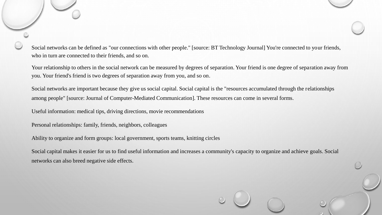Social networks can be defined as "our connections with other people." [source: BT Technology Journal] You're connected to your friends, who in turn are connected to their friends, and so on.

Your relationship to others in the social network can be measured by degrees of separation. Your friend is one degree of separation away from you. Your friend's friend is two degrees of separation away from you, and so on.

Social networks are important because they give us social capital. Social capital is the "resources accumulated through the relationships among people" [source: Journal of Computer-Mediated Communication]. These resources can come in several forms.

Useful information: medical tips, driving directions, movie recommendations

Personal relationships: family, friends, neighbors, colleagues

Ability to organize and form groups: local government, sports teams, knitting circles

Social capital makes it easier for us to find useful information and increases a community's capacity to organize and achieve goals. Social networks can also breed negative side effects.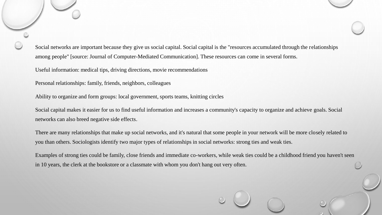Social networks are important because they give us social capital. Social capital is the "resources accumulated through the relationships among people" [source: Journal of Computer-Mediated Communication]. These resources can come in several forms.

Useful information: medical tips, driving directions, movie recommendations

Personal relationships: family, friends, neighbors, colleagues

Ability to organize and form groups: local government, sports teams, knitting circles

Social capital makes it easier for us to find useful information and increases a community's capacity to organize and achieve goals. Social networks can also breed negative side effects.

There are many relationships that make up social networks, and it's natural that some people in your network will be more closely related to you than others. Sociologists identify two major types of relationships in social networks: strong ties and weak ties.

Examples of strong ties could be family, close friends and immediate co-workers, while weak ties could be a childhood friend you haven't seen in 10 years, the clerk at the bookstore or a classmate with whom you don't hang out very often.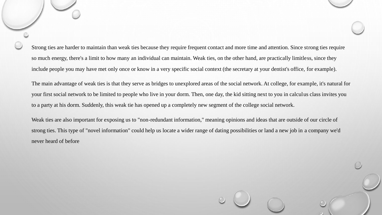Strong ties are harder to maintain than weak ties because they require frequent contact and more time and attention. Since strong ties require so much energy, there's a limit to how many an individual can maintain. Weak ties, on the other hand, are practically limitless, since they include people you may have met only once or know in a very specific social context (the secretary at your dentist's office, for example).

The main advantage of weak ties is that they serve as bridges to unexplored areas of the social network. At college, for example, it's natural for your first social network to be limited to people who live in your dorm. Then, one day, the kid sitting next to you in calculus class invites you to a party at his dorm. Suddenly, this weak tie has opened up a completely new segment of the college social network.

Weak ties are also important for exposing us to "non-redundant information," meaning opinions and ideas that are outside of our circle of strong ties. This type of "novel information" could help us locate a wider range of dating possibilities or land a new job in a company we'd never heard of before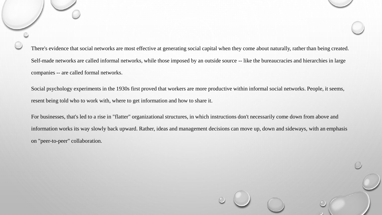There's evidence that social networks are most effective at generating social capital when they come about naturally, rather than being created. Self-made networks are called informal networks, while those imposed by an outside source -- like the bureaucracies and hierarchies in large companies -- are called formal networks.

Social psychology experiments in the 1930s first proved that workers are more productive within informal social networks. People, it seems, resent being told who to work with, where to get information and how to share it.

For businesses, that's led to a rise in "flatter" organizational structures, in which instructions don't necessarily come down from above and information works its way slowly back upward. Rather, ideas and management decisions can move up, down and sideways, with an emphasis on "peer-to-peer" collaboration.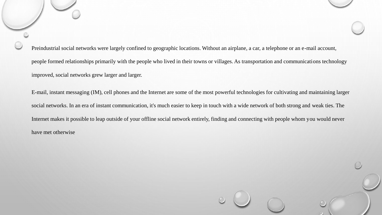Preindustrial social networks were largely confined to geographic locations. Without an airplane, a car, a telephone or an e-mail account, people formed relationships primarily with the people who lived in their towns or villages. As transportation and communications technology improved, social networks grew larger and larger.

E-mail, instant messaging (IM), cell phones and the Internet are some of the most powerful technologies for cultivating and maintaining larger social networks. In an era of instant communication, it's much easier to keep in touch with a wide network of both strong and weak ties. The Internet makes it possible to leap outside of your offline social network entirely, finding and connecting with people whom you would never have met otherwise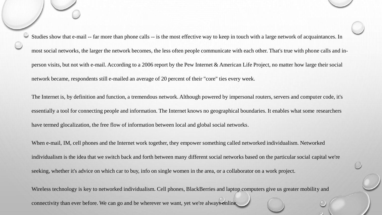Studies show that e-mail -- far more than phone calls -- is the most effective way to keep in touch with a large network of acquaintances. In most social networks, the larger the network becomes, the less often people communicate with each other. That's true with phone calls and inperson visits, but not with e-mail. According to a 2006 report by the Pew Internet & American Life Project, no matter how large their social network became, respondents still e-mailed an average of 20 percent of their "core" ties every week. The Internet is, by definition and function, a tremendous network. Although powered by impersonal routers, servers and computer code, it's essentially a tool for connecting people and information. The Internet knows no geographical boundaries. It enables what some researchers have termed glocalization, the free flow of information between local and global social networks. When e-mail, IM, cell phones and the Internet work together, they empower something called networked individualism. Networked individualism is the idea that we switch back and forth between many different social networks based on the particular social capital we're seeking, whether it's advice on which car to buy, info on single women in the area, or a collaborator on a work project. Wireless technology is key to networked individualism. Cell phones, BlackBerries and laptop computers give us greater mobility and

connectivity than ever before. We can go and be wherever we want, yet we're always online.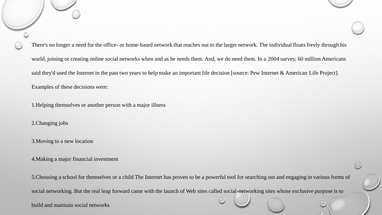There's no longer a need for the office- or home-based network that reaches out to the larger network. The individual floats freely through his world, joining or creating online social networks when and as he needs them. And, we do need them. In a 2004 survey, 60 million Americans said they'd used the Internet in the past two years to help make an important life decision [source: Pew Internet & American Life Project]. Examples of these decisions were:

1.Helping themselves or another person with a major illness

2.Changing jobs

3.Moving to a new location

4.Making a major financial investment

5.Choosing a school for themselves or a child The Internet has proven to be a powerful tool for searching out and engaging in various forms of social networking. But the real leap forward came with the launch of Web sites called social-networking sites whose exclusive purpose is to

build and maintain social networks.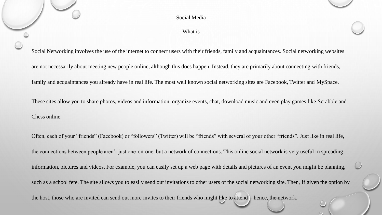What is

Social Networking involves the use of the internet to connect users with their friends, family and acquaintances. Social networking websites

are not necessarily about meeting new people online, although this does happen. Instead, they are primarily about connecting with friends,

family and acquaintances you already have in real life. The most well known social networking sites are Facebook, Twitter and MySpace.

These sites allow you to share photos, videos and information, organize events, chat, download music and even play games like Scrabble and Chess online.

Often, each of your "friends" (Facebook) or "followers" (Twitter) will be "friends" with several of your other "friends". Just like in real life, the connections between people aren't just one-on-one, but a network of connections. This online social network is very useful in spreading information, pictures and videos. For example, you can easily set up a web page with details and pictures of an event you might be planning, such as a school fete. The site allows you to easily send out invitations to other users of the social networking site. Then, if given the option by the host, those who are invited can send out more invites to their friends who might like to attend – hence, the network.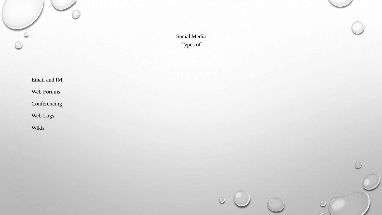

Social Media Types of

 $\circ$ 

Email and IM

Web Forums

Conferencing

Web Logs

Wikis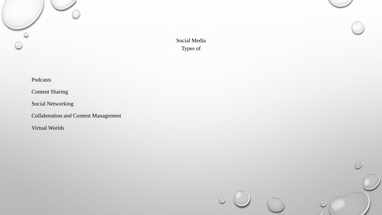Social Media Types of

Podcasts

 $\circ$ 

Content Sharing

Social Networking

Collaboration and Content Management

Virtual Worlds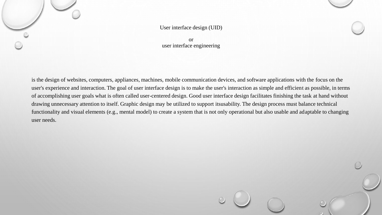

#### or user interface engineering

is the design of websites, computers, appliances, machines, mobile communication devices, and software applications with the focus on the user's experience and interaction. The goal of user interface design is to make the user's interaction as simple and efficient as possible, in terms of accomplishing user goals what is often called user-centered design. Good user interface design facilitates finishing the task at hand without drawing unnecessary attention to itself. Graphic design may be utilized to support itsusability. The design process must balance technical functionality and visual elements (e.g., mental model) to create a system that is not only operational but also usable and adaptable to changing user needs.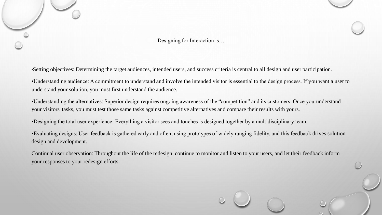

Designing for Interaction is…

•Setting objectives: Determining the target audiences, intended users, and success criteria is central to all design and user participation.

•Understanding audience: A commitment to understand and involve the intended visitor is essential to the design process. If you want a user to understand your solution, you must first understand the audience.

•Understanding the alternatives: Superior design requires ongoing awareness of the "competition" and its customers. Once you understand your visitors' tasks, you must test those same tasks against competitive alternatives and compare their results with yours.

•Designing the total user experience: Everything a visitor sees and touches is designed together by a multidisciplinary team.

•Evaluating designs: User feedback is gathered early and often, using prototypes of widely ranging fidelity, and this feedback drives solution design and development.

Continual user observation: Throughout the life of the redesign, continue to monitor and listen to your users, and let their feedback inform your responses to your redesign efforts.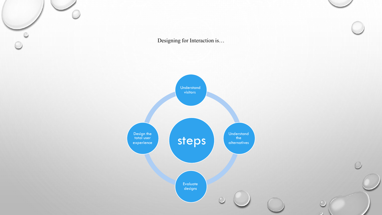$\circ$ Design the total user experience

Designing for Interaction is…



 $\bigcap$ 

 $\circ$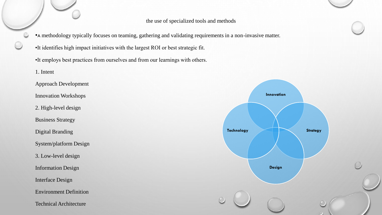the use of specialized tools and methods

•A methodology typically focuses on teaming, gathering and validating requirements in a non-invasive matter.

•It identifies high impact initiatives with the largest ROI or best strategic fit.

•It employs best practices from ourselves and from our learnings with others.

1. Intent Approach Development Innovation Workshops 2. High-level design Business Strategy Digital Branding System/platform Design 3. Low-level design Information Design Interface Design Environment Definition Technical Architecture

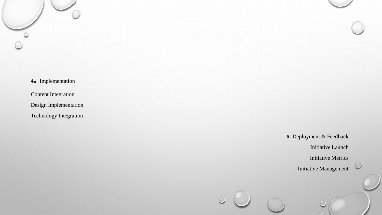**<sup>4</sup>.** Implementation

Content Integration

Design Implementation

Technology Integration

**5**. Deployment & Feedback

Initiative Launch

Initiative Metrics

Initiative Management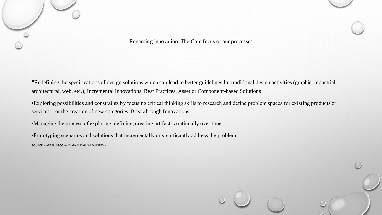

Regarding innovation: The Core focus of our processes

•Redefining the specifications of design solutions which can lead to better guidelines for traditional design activities (graphic, industrial, architectural, web, etc.); Incremental Innovations, Best Practices, Asset or Component-based Solutions

•Exploring possibilities and constraints by focusing critical thinking skills to research and define problem spaces for existing products or services—or the creation of new categories; Breakthrough Innovations

•Managing the process of exploring, defining, creating artifacts continually over time

•Prototyping scenarios and solutions that incrementally or significantly address the problem

SOURCE: NATE BURGOS AND ADAM KALLISH, WIKIPEDIA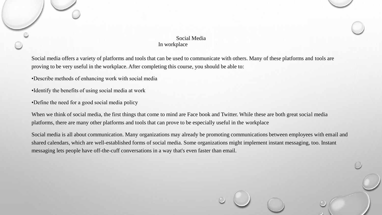#### Social Media In workplace

Social media offers a variety of platforms and tools that can be used to communicate with others. Many of these platforms and tools are proving to be very useful in the workplace. After completing this course, you should be able to:

•Describe methods of enhancing work with social media

•Identify the benefits of using social media at work

•Define the need for a good social media policy

When we think of social media, the first things that come to mind are Face book and Twitter. While these are both great social media platforms, there are many other platforms and tools that can prove to be especially useful in the workplace

Social media is all about communication. Many organizations may already be promoting communications between employees with email and shared calendars, which are well-established forms of social media. Some organizations might implement instant messaging, too. Instant messaging lets people have off-the-cuff conversations in a way that's even faster than email.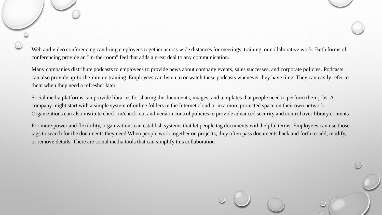Web and video conferencing can bring employees together across wide distances for meetings, training, or collaborative work. Both forms of conferencing provide an "in-the-room" feel that adds a great deal to any communication.

Many companies distribute podcasts to employees to provide news about company events, sales successes, and corporate policies. Podcasts can also provide up-to-the-minute training. Employees can listen to or watch these podcasts whenever they have time. They can easily refer to them when they need a refresher later

Social media platforms can provide libraries for sharing the documents, images, and templates that people need to perform their jobs. A company might start with a simple system of online folders in the Internet cloud or in a more protected space on their own network. Organizations can also institute check-in/check-out and version control policies to provide advanced security and control over library contents

For more power and flexibility, organizations can establish systems that let people tag documents with helpful terms. Employees can use those tags to search for the documents they need When people work together on projects, they often pass documents back and forth to add, modify, or remove details. There are social media tools that can simplify this collaboration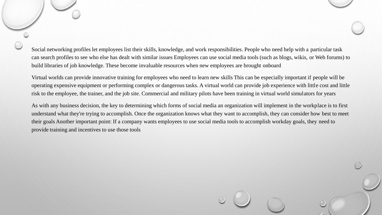Social networking profiles let employees list their skills, knowledge, and work responsibilities. People who need help with a particular task can search profiles to see who else has dealt with similar issues Employees can use social media tools (such as blogs, wikis, or Web forums) to build libraries of job knowledge. These become invaluable resources when new employees are brought onboard

Virtual worlds can provide innovative training for employees who need to learn new skills This can be especially important if people will be operating expensive equipment or performing complex or dangerous tasks. A virtual world can provide job experience with little cost and little risk to the employee, the trainer, and the job site. Commercial and military pilots have been training in virtual world simulators for years

As with any business decision, the key to determining which forms of social media an organization will implement in the workplace is to first understand what they're trying to accomplish. Once the organization knows what they want to accomplish, they can consider how best to meet their goals Another important point: If a company wants employees to use social media tools to accomplish workday goals, they need to provide training and incentives to use those tools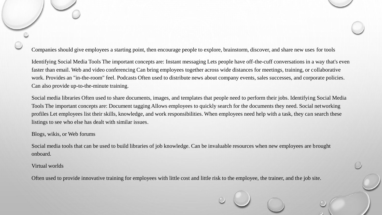Companies should give employees a starting point, then encourage people to explore, brainstorm, discover, and share new uses for tools

Identifying Social Media Tools The important concepts are: Instant messaging Lets people have off-the-cuff conversations in a way that's even faster than email. Web and video conferencing Can bring employees together across wide distances for meetings, training, or collaborative work. Provides an "in-the-room" feel. Podcasts Often used to distribute news about company events, sales successes, and corporate policies. Can also provide up-to-the-minute training.

Social media libraries Often used to share documents, images, and templates that people need to perform their jobs. Identifying Social Media Tools The important concepts are: Document tagging Allows employees to quickly search for the documents they need. Social networking profiles Let employees list their skills, knowledge, and work responsibilities. When employees need help with a task, they can search these listings to see who else has dealt with similar issues.

#### Blogs, wikis, or Web forums

Social media tools that can be used to build libraries of job knowledge. Can be invaluable resources when new employees are brought onboard.

#### Virtual worlds

Often used to provide innovative training for employees with little cost and little risk to the employee, the trainer, and the job site.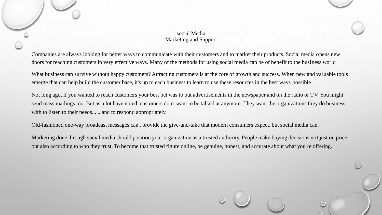#### social Media Marketing and Support

Companies are always looking for better ways to communicate with their customers and to market their products. Social media opens new doors for reaching customers in very effective ways. Many of the methods for using social media can be of benefit to the business world

What business can survive without happy customers? Attracting customers is at the core of growth and success. When new and valuable tools emerge that can help build the customer base, it's up to each business to learn to use these resources in the best ways possible

Not long ago, if you wanted to reach customers your best bet was to put advertisements in the newspaper and on the radio or TV. You might send mass mailings too. But as a lot have noted, customers don't want to be talked at anymore. They want the organizations they do business with to listen to their needs... ...and to respond appropriately.

Old-fashioned one-way broadcast messages can't provide the give-and-take that modern consumers expect, but social media can.

Marketing done through social media should position your organization as a trusted authority. People make buying decisions not just on price, but also according to who they trust. To become that trusted figure online, be genuine, honest, and accurate about what you're offering.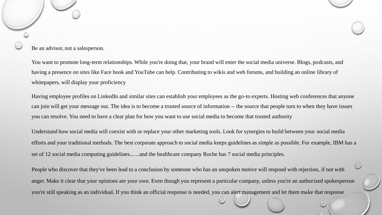#### Be an advisor, not a salesperson.

You want to promote long-term relationships. While you're doing that, your brand will enter the social media universe. Blogs, podcasts, and having a presence on sites like Face book and YouTube can help. Contributing to wikis and web forums, and building an online library of whitepapers, will display your proficiency

Having employee profiles on LinkedIn and similar sites can establish your employees as the go-to experts. Hosting web conferences that anyone can join will get your message out. The idea is to become a trusted source of information -- the source that people turn to when they have issues you can resolve. You need to have a clear plan for how you want to use social media to become that trusted authority

Understand how social media will coexist with or replace your other marketing tools. Look for synergies to build between your social media efforts and your traditional methods. The best corporate approach to social media keeps guidelines as simple as possible. For example, IBM has a set of 12 social media computing guidelines... ...and the healthcare company Roche has 7 social media principles.

People who discover that they've been lead to a conclusion by someone who has an unspoken motive will respond with rejection, if not with anger. Make it clear that your opinions are your own. Even though you represent a particular company, unless you're an authorized spokesperson you're still speaking as an individual. If you think an official response is needed, you can alert management and let them make that response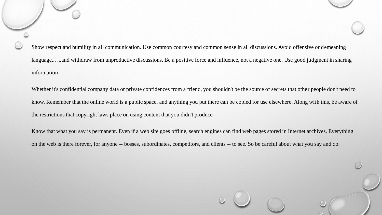Show respect and humility in all communication. Use common courtesy and common sense in all discussions. Avoid offensive or demeaning language... ...and withdraw from unproductive discussions. Be a positive force and influence, not a negative one. Use good judgment in sharing information

Whether it's confidential company data or private confidences from a friend, you shouldn't be the source of secrets that other people don't need to know. Remember that the online world is a public space, and anything you put there can be copied for use elsewhere. Along with this, be aware of the restrictions that copyright laws place on using content that you didn't produce

Know that what you say is permanent. Even if a web site goes offline, search engines can find web pages stored in Internet archives. Everything on the web is there forever, for anyone -- bosses, subordinates, competitors, and clients -- to see. So be careful about what you say and do.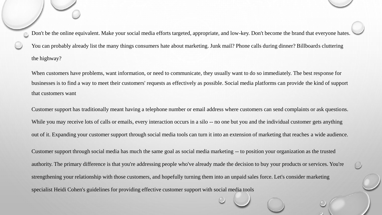Don't be the online equivalent. Make your social media efforts targeted, appropriate, and low-key. Don't become the brand that everyone hates. You can probably already list the many things consumers hate about marketing. Junk mail? Phone calls during dinner? Billboards cluttering the highway?

When customers have problems, want information, or need to communicate, they usually want to do so immediately. The best response for businesses is to find a way to meet their customers' requests as effectively as possible. Social media platforms can provide the kind of support that customers want

Customer support has traditionally meant having a telephone number or email address where customers can send complaints or ask questions. While you may receive lots of calls or emails, every interaction occurs in a silo -- no one but you and the individual customer gets anything out of it. Expanding your customer support through social media tools can turn it into an extension of marketing that reaches a wide audience.

Customer support through social media has much the same goal as social media marketing -- to position your organization as the trusted authority. The primary difference is that you're addressing people who've already made the decision to buy your products or services. You're strengthening your relationship with those customers, and hopefully turning them into an unpaid sales force. Let's consider marketing specialist Heidi Cohen's guidelines for providing effective customer support with social media tools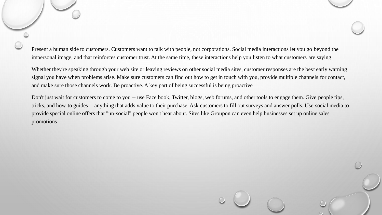Present a human side to customers. Customers want to talk with people, not corporations. Social media interactions let you go beyond the impersonal image, and that reinforces customer trust. At the same time, these interactions help you listen to what customers are saying

Whether they're speaking through your web site or leaving reviews on other social media sites, customer responses are the best early warning signal you have when problems arise. Make sure customers can find out how to get in touch with you, provide multiple channels for contact, and make sure those channels work. Be proactive. A key part of being successful is being proactive

Don't just wait for customers to come to you -- use Face book, Twitter, blogs, web forums, and other tools to engage them. Give people tips, tricks, and how-to guides -- anything that adds value to their purchase. Ask customers to fill out surveys and answer polls. Use social media to provide special online offers that "un-social" people won't hear about. Sites like Groupon can even help businesses set up online sales promotions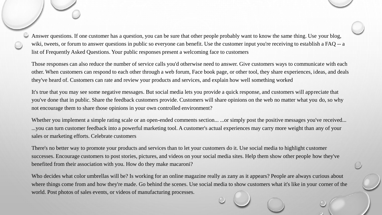Answer questions. If one customer has a question, you can be sure that other people probably want to know the same thing. Use your blog, wiki, tweets, or forum to answer questions in public so everyone can benefit. Use the customer input you're receiving to establish a FAQ -- a list of Frequently Asked Questions. Your public responses present a welcoming face to customers

Those responses can also reduce the number of service calls you'd otherwise need to answer. Give customers ways to communicate with each other. When customers can respond to each other through a web forum, Face book page, or other tool, they share experiences, ideas, and deals they've heard of. Customers can rate and review your products and services, and explain how well something worked

It's true that you may see some negative messages. But social media lets you provide a quick response, and customers will appreciate that you've done that in public. Share the feedback customers provide. Customers will share opinions on the web no matter what you do, so why not encourage them to share those opinions in your own controlled environment?

Whether you implement a simple rating scale or an open-ended comments section... ...or simply post the positive messages you've received... ...you can turn customer feedback into a powerful marketing tool. A customer's actual experiences may carry more weight than any of your sales or marketing efforts. Celebrate customers

There's no better way to promote your products and services than to let your customers do it. Use social media to highlight customer successes. Encourage customers to post stories, pictures, and videos on your social media sites. Help them show other people how they've benefited from their association with you. How do they make macaroni?

Who decides what color umbrellas will be? Is working for an online magazine really as zany as it appears? People are always curious about where things come from and how they're made. Go behind the scenes. Use social media to show customers what it's like in your corner of the world. Post photos of sales events, or videos of manufacturing processes.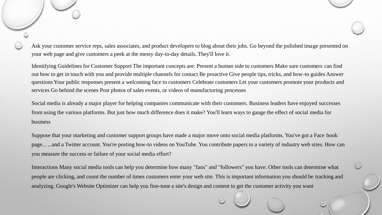Ask your customer service reps, sales associates, and product developers to blog about their jobs. Go beyond the polished image presented on your web page and give customers a peek at the messy day-to-day details. They'll love it.

Identifying Guidelines for Customer Support The important concepts are: Present a human side to customers Make sure customers can find out how to get in touch with you and provide multiple channels for contact Be proactive Give people tips, tricks, and how-to guides Answer questions Your public responses present a welcoming face to customers Celebrate customers Let your customers promote your products and services Go behind the scenes Post photos of sales events, or videos of manufacturing processes

Social media is already a major player for helping companies communicate with their customers. Business leaders have enjoyed successes from using the various platforms. But just how much difference does it make? You'll learn ways to gauge the effect of social media for business

Suppose that your marketing and customer support groups have made a major move onto social media platforms. You've got a Face book page... ...and a Twitter account. You're posting how-to videos on YouTube. You contribute papers to a variety of industry web sites. How can you measure the success or failure of your social media effort?

Interactions Many social media tools can help you determine how many "fans" and "followers" you have. Other tools can determine what people are clicking, and count the number of times customers enter your web site. This is important information you should be tracking and analyzing. Google's Website Optimizer can help you fine-tune a site's design and content to get the customer activity you want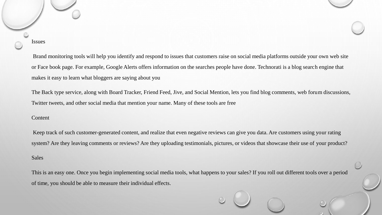Issues

Brand monitoring tools will help you identify and respond to issues that customers raise on social media platforms outside your own web site or Face book page. For example, Google Alerts offers information on the searches people have done. Technorati is a blog search engine that makes it easy to learn what bloggers are saying about you

The Back type service, along with Board Tracker, Friend Feed, Jive, and Social Mention, lets you find blog comments, web forum discussions, Twitter tweets, and other social media that mention your name. Many of these tools are free

#### Content

Keep track of such customer-generated content, and realize that even negative reviews can give you data. Are customers using your rating system? Are they leaving comments or reviews? Are they uploading testimonials, pictures, or videos that showcase their use of your product? Sales

This is an easy one. Once you begin implementing social media tools, what happens to your sales? If you roll out different tools over a period of time, you should be able to measure their individual effects.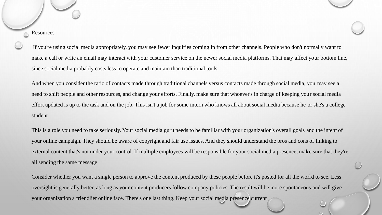**Resources** 

If you're using social media appropriately, you may see fewer inquiries coming in from other channels. People who don't normally want to make a call or write an email may interact with your customer service on the newer social media platforms. That may affect your bottom line, since social media probably costs less to operate and maintain than traditional tools

And when you consider the ratio of contacts made through traditional channels versus contacts made through social media, you may see a need to shift people and other resources, and change your efforts. Finally, make sure that whoever's in charge of keeping your social media effort updated is up to the task and on the job. This isn't a job for some intern who knows all about social media because he or she's a college student

This is a role you need to take seriously. Your social media guru needs to be familiar with your organization's overall goals and the intent of your online campaign. They should be aware of copyright and fair use issues. And they should understand the pros and cons of linking to external content that's not under your control. If multiple employees will be responsible for your social media presence, make sure that they're all sending the same message

Consider whether you want a single person to approve the content produced by these people before it's posted for all the world to see. Less oversight is generally better, as long as your content producers follow company policies. The result will be more spontaneous and will give your organization a friendlier online face. There's one last thing. Keep your social media presence current